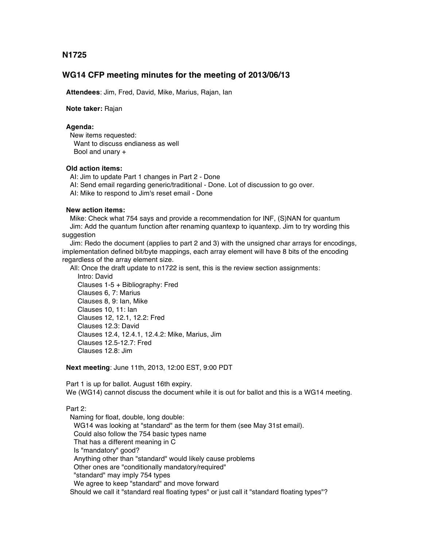**N1725**

# **WG14 CFP meeting minutes for the meeting of 2013/06/13**

 **Attendees**: Jim, Fred, David, Mike, Marius, Rajan, Ian

 **Note taker:** Rajan

## **Agenda:**

 New items requested: Want to discuss endianess as well Bool and unary +

# **Old action items:**

AI: Jim to update Part 1 changes in Part 2 - Done

AI: Send email regarding generic/traditional - Done. Lot of discussion to go over.

AI: Mike to respond to Jim's reset email - Done

### **New action items:**

 Mike: Check what 754 says and provide a recommendation for INF, (S)NAN for quantum Jim: Add the quantum function after renaming quantexp to iquantexp. Jim to try wording this suggestion

 Jim: Redo the document (applies to part 2 and 3) with the unsigned char arrays for encodings, implementation defined bit/byte mappings, each array element will have 8 bits of the encoding regardless of the array element size.

All: Once the draft update to n1722 is sent, this is the review section assignments:

 Intro: David Clauses 1-5 + Bibliography: Fred Clauses 6, 7: Marius Clauses 8, 9: Ian, Mike Clauses 10, 11: Ian Clauses 12, 12.1, 12.2: Fred Clauses 12.3: David Clauses 12.4, 12.4.1, 12.4.2: Mike, Marius, Jim Clauses 12.5-12.7: Fred Clauses 12.8: Jim

**Next meeting**: June 11th, 2013, 12:00 EST, 9:00 PDT

 Part 1 is up for ballot. August 16th expiry. We (WG14) cannot discuss the document while it is out for ballot and this is a WG14 meeting.

#### Part 2:

 Naming for float, double, long double: WG14 was looking at "standard" as the term for them (see May 31st email). Could also follow the 754 basic types name That has a different meaning in C Is "mandatory" good? Anything other than "standard" would likely cause problems Other ones are "conditionally mandatory/required" "standard" may imply 754 types We agree to keep "standard" and move forward Should we call it "standard real floating types" or just call it "standard floating types"?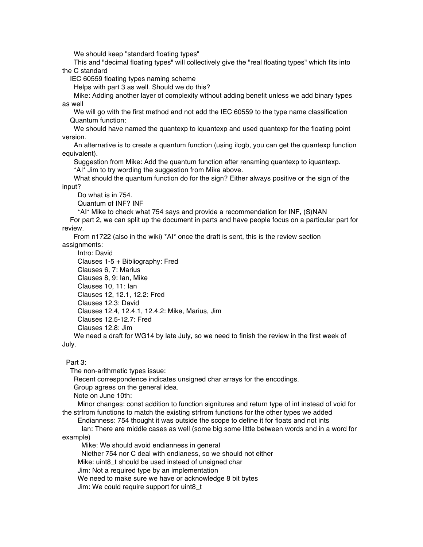We should keep "standard floating types"

 This and "decimal floating types" will collectively give the "real floating types" which fits into the C standard

IEC 60559 floating types naming scheme

Helps with part 3 as well. Should we do this?

 Mike: Adding another layer of complexity without adding benefit unless we add binary types as well

 We will go with the first method and not add the IEC 60559 to the type name classification Quantum function:

 We should have named the quantexp to iquantexp and used quantexp for the floating point version.

 An alternative is to create a quantum function (using ilogb, you can get the quantexp function equivalent).

Suggestion from Mike: Add the quantum function after renaming quantexp to iquantexp. \*AI\* Jim to try wording the suggestion from Mike above.

 What should the quantum function do for the sign? Either always positive or the sign of the input?

Do what is in 754.

Quantum of INF? INF

\*AI\* Mike to check what 754 says and provide a recommendation for INF, (S)NAN

 For part 2, we can split up the document in parts and have people focus on a particular part for review.

 From n1722 (also in the wiki) \*AI\* once the draft is sent, this is the review section assignments:

 Intro: David Clauses 1-5 + Bibliography: Fred Clauses 6, 7: Marius Clauses 8, 9: Ian, Mike Clauses 10, 11: Ian Clauses 12, 12.1, 12.2: Fred Clauses 12.3: David Clauses 12.4, 12.4.1, 12.4.2: Mike, Marius, Jim Clauses 12.5-12.7: Fred Clauses 12.8: Jim

We need a draft for WG14 by late July, so we need to finish the review in the first week of July.

Part 3:

The non-arithmetic types issue:

Recent correspondence indicates unsigned char arrays for the encodings.

Group agrees on the general idea.

Note on June 10th:

 Minor changes: const addition to function signitures and return type of int instead of void for the strfrom functions to match the existing strfrom functions for the other types we added

Endianness: 754 thought it was outside the scope to define it for floats and not ints

 Ian: There are middle cases as well (some big some little between words and in a word for example)

Mike: We should avoid endianness in general

Niether 754 nor C deal with endianess, so we should not either

Mike: uint8 t should be used instead of unsigned char

Jim: Not a required type by an implementation

We need to make sure we have or acknowledge 8 bit bytes

Jim: We could require support for uint8\_t